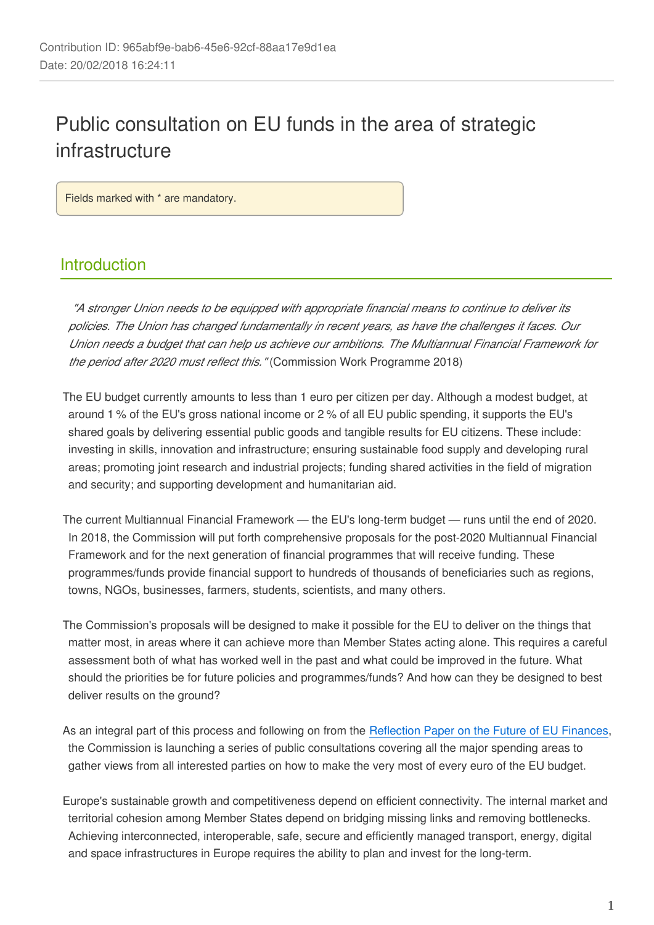# Public consultation on EU funds in the area of strategic infrastructure

Fields marked with \* are mandatory.

## Introduction

*"A stronger Union needs to be equipped with appropriate financial means to continue to deliver its policies. The Union has changed fundamentally in recent years, as have the challenges it faces. Our Union needs a budget that can help us achieve our ambitions. The Multiannual Financial Framework for the period after 2020 must reflect this."* (Commission Work Programme 2018)

The EU budget currently amounts to less than 1 euro per citizen per day. Although a modest budget, at around 1 % of the EU's gross national income or 2 % of all EU public spending, it supports the EU's shared goals by delivering essential public goods and tangible results for EU citizens. These include: investing in skills, innovation and infrastructure; ensuring sustainable food supply and developing rural areas; promoting joint research and industrial projects; funding shared activities in the field of migration and security; and supporting development and humanitarian aid.

The current Multiannual Financial Framework — the EU's long-term budget — runs until the end of 2020. In 2018, the Commission will put forth comprehensive proposals for the post-2020 Multiannual Financial Framework and for the next generation of financial programmes that will receive funding. These programmes/funds provide financial support to hundreds of thousands of beneficiaries such as regions, towns, NGOs, businesses, farmers, students, scientists, and many others.

The Commission's proposals will be designed to make it possible for the EU to deliver on the things that matter most, in areas where it can achieve more than Member States acting alone. This requires a careful assessment both of what has worked well in the past and what could be improved in the future. What should the priorities be for future policies and programmes/funds? And how can they be designed to best deliver results on the ground?

As an integral part of this process and following on from the [Reflection Paper on the Future of EU Finances](https://ec.europa.eu/commission/publications/reflection-paper-future-eu-finances_en), the Commission is launching a series of public consultations covering all the major spending areas to gather views from all interested parties on how to make the very most of every euro of the EU budget.

Europe's sustainable growth and competitiveness depend on efficient connectivity. The internal market and territorial cohesion among Member States depend on bridging missing links and removing bottlenecks. Achieving interconnected, interoperable, safe, secure and efficiently managed transport, energy, digital and space infrastructures in Europe requires the ability to plan and invest for the long-term.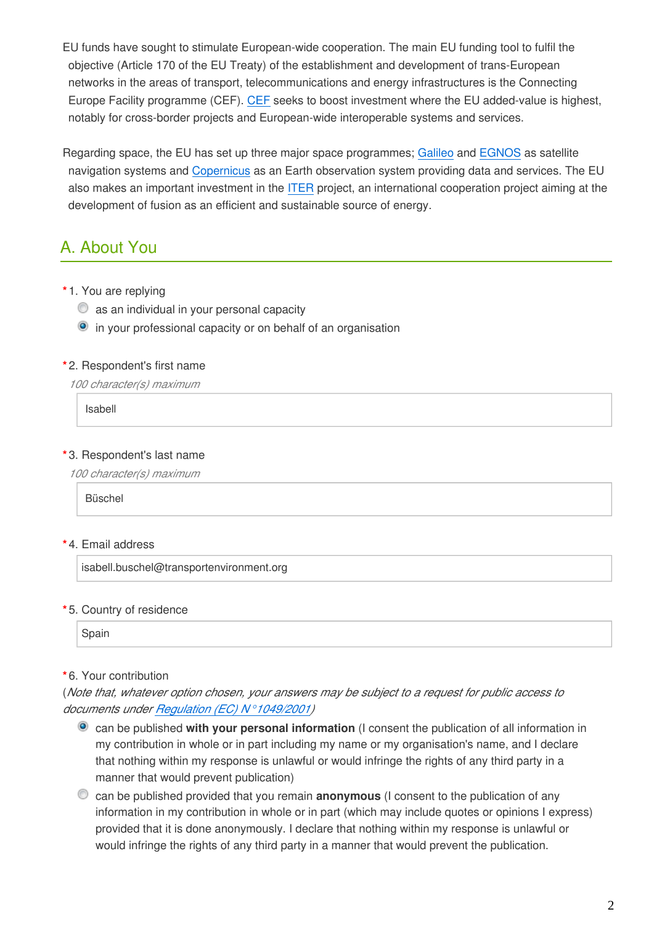- EU funds have sought to stimulate European-wide cooperation. The main EU funding tool to fulfil the objective (Article 170 of the EU Treaty) of the establishment and development of trans-European networks in the areas of transport, telecommunications and energy infrastructures is the Connecting Europe Facility programme (CEF). [CEF](https://ec.europa.eu/inea/en/connecting-europe-facility) seeks to boost investment where the EU added-value is highest, notably for cross-border projects and European-wide interoperable systems and services.
- Regarding space, the EU has set up three major space programmes; [Galileo](http://ec.europa.eu/growth/sectors/space/galileo_en) and [EGNOS](http://ec.europa.eu/growth/sectors/space/egnos_en) as satellite navigation systems and [Copernicus](http://ec.europa.eu/growth/sectors/space/copernicus_en) as an Earth observation system providing data and services. The EU also makes an important investment in the [ITER](https://www.iter.org/) project, an international cooperation project aiming at the development of fusion as an efficient and sustainable source of energy.

## A. About You

- **\*** 1. You are replying
	- $\bullet$  as an individual in your personal capacity
	- **•** in your professional capacity or on behalf of an organisation

#### **\*** 2. Respondent's first name

*100 character(s) maximum*

Isabell

### **\*** 3. Respondent's last name

*100 character(s) maximum*

Büschel

#### **\*** 4. Email address

isabell.buschel@transportenvironment.org

#### **\*** 5. Country of residence

Spain

#### **\*** 6. Your contribution

(*Note that, whatever option chosen, your answers may be subject to a request for public access to documents under [Regulation \(EC\) N°1049/2001\)](http://eur-lex.europa.eu/legal-content/EN/AUTO/?uri=CELEX:32001R1049)*

- can be published **with your personal information** (I consent the publication of all information in my contribution in whole or in part including my name or my organisation's name, and I declare that nothing within my response is unlawful or would infringe the rights of any third party in a manner that would prevent publication)
- can be published provided that you remain **anonymous** (I consent to the publication of any information in my contribution in whole or in part (which may include quotes or opinions I express) provided that it is done anonymously. I declare that nothing within my response is unlawful or would infringe the rights of any third party in a manner that would prevent the publication.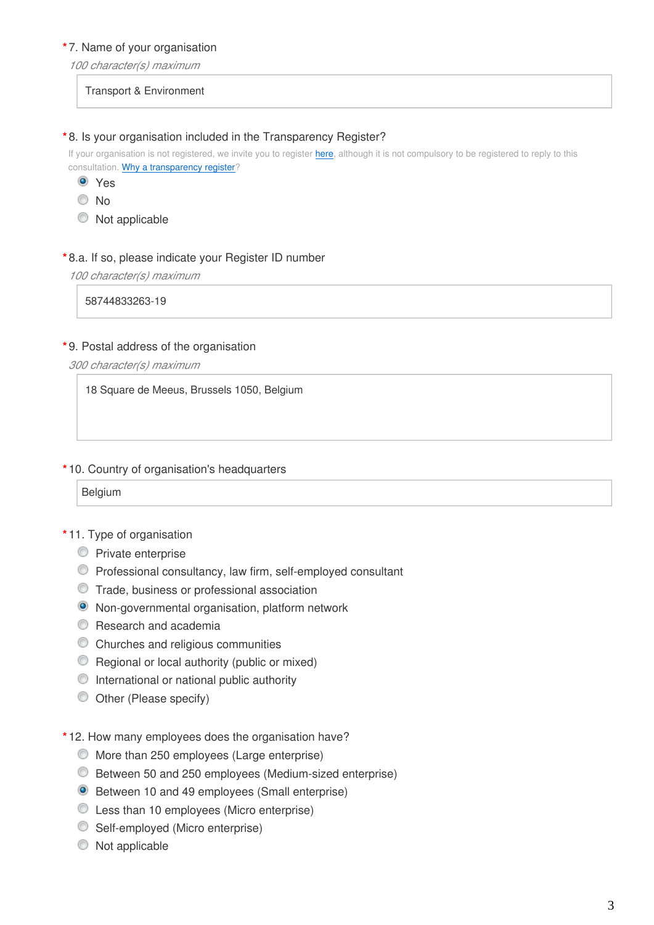#### **\*** 7. Name of your organisation

*100 character(s) maximum*

Transport & Environment

#### **\*** 8. Is your organisation included in the Transparency Register?

If your organisation is not registered, we invite you to register [here,](https://ec.europa.eu/transparencyregister/public/ri/registering.do?locale=en) although it is not compulsory to be registered to reply to this consultation. [Why a transparency register](http://ec.europa.eu/transparencyregister/public/staticPage/displayStaticPage.do?locale=en&reference=WHY_TRANSPARENCY_REGISTER)?

- Yes
- $\odot$  No
- $\bullet$  Not applicable

#### **\*** 8.a. If so, please indicate your Register ID number

*100 character(s) maximum*

58744833263-19

#### **\*** 9. Postal address of the organisation

*300 character(s) maximum*

18 Square de Meeus, Brussels 1050, Belgium

#### **\*** 10. Country of organisation's headquarters

| -<br>. |  |
|--------|--|
|--------|--|

#### **\*** 11. Type of organisation

- **Private enterprise**
- Professional consultancy, law firm, self-employed consultant
- Trade, business or professional association
- Non-governmental organisation, platform network
- **C** Research and academia
- Churches and religious communities
- Regional or local authority (public or mixed)
- $\bullet$  International or national public authority
- Other (Please specify)
- **\*** 12. How many employees does the organisation have?
	- More than 250 employees (Large enterprise)
	- Between 50 and 250 employees (Medium-sized enterprise)
	- Between 10 and 49 employees (Small enterprise)
	- Less than 10 employees (Micro enterprise)
	- Self-employed (Micro enterprise)
	- $\bullet$  Not applicable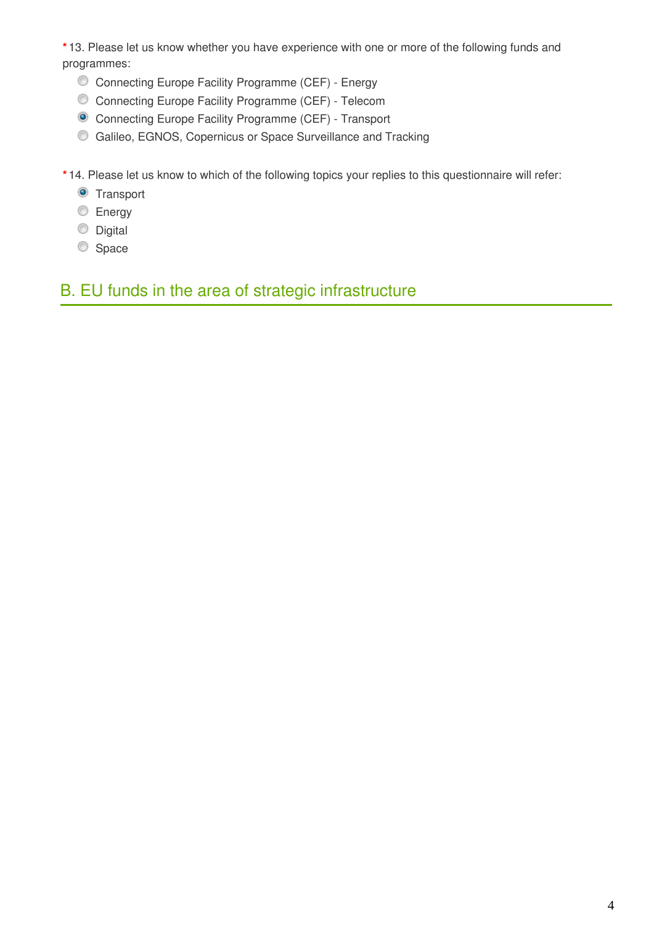**\*** 13. Please let us know whether you have experience with one or more of the following funds and programmes:

- Connecting Europe Facility Programme (CEF) Energy
- Connecting Europe Facility Programme (CEF) Telecom
- Connecting Europe Facility Programme (CEF) Transport
- Galileo, EGNOS, Copernicus or Space Surveillance and Tracking
- **\*** 14. Please let us know to which of the following topics your replies to this questionnaire will refer:
	- **O** Transport
	- **Energy**
	- **Digital**
	- Space

## B. EU funds in the area of strategic infrastructure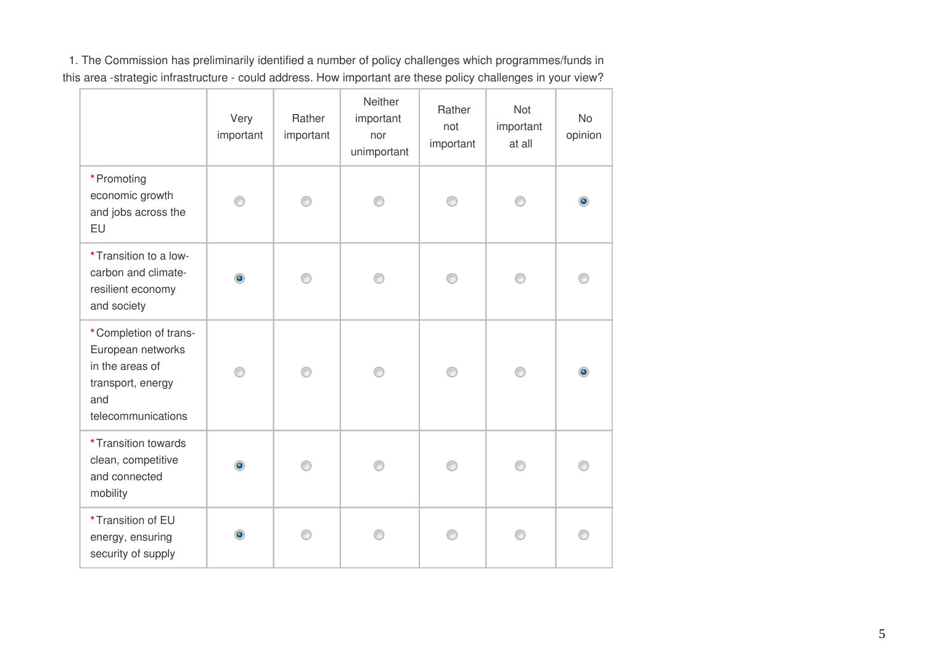1. The Commission has preliminarily identified a number of policy challenges which programmes/funds in this area -strategic infrastructure - could address. How important are these policy challenges in your view?

|                                                                                                                 | Very<br>important | Rather<br>important | Neither<br>important<br>nor<br>unimportant | Rather<br>not<br>important | <b>Not</b><br>important<br>at all | <b>No</b><br>opinion |
|-----------------------------------------------------------------------------------------------------------------|-------------------|---------------------|--------------------------------------------|----------------------------|-----------------------------------|----------------------|
| * Promoting<br>economic growth<br>and jobs across the<br>EU                                                     |                   |                     |                                            |                            |                                   |                      |
| * Transition to a low-<br>carbon and climate-<br>resilient economy<br>and society                               | ۰                 |                     |                                            |                            |                                   |                      |
| *Completion of trans-<br>European networks<br>in the areas of<br>transport, energy<br>and<br>telecommunications | ∩                 | ⊙                   | ∩                                          | ∩                          | ⊙                                 |                      |
| * Transition towards<br>clean, competitive<br>and connected<br>mobility                                         | ۰                 |                     |                                            |                            |                                   |                      |
| *Transition of EU<br>energy, ensuring<br>security of supply                                                     |                   |                     |                                            |                            |                                   |                      |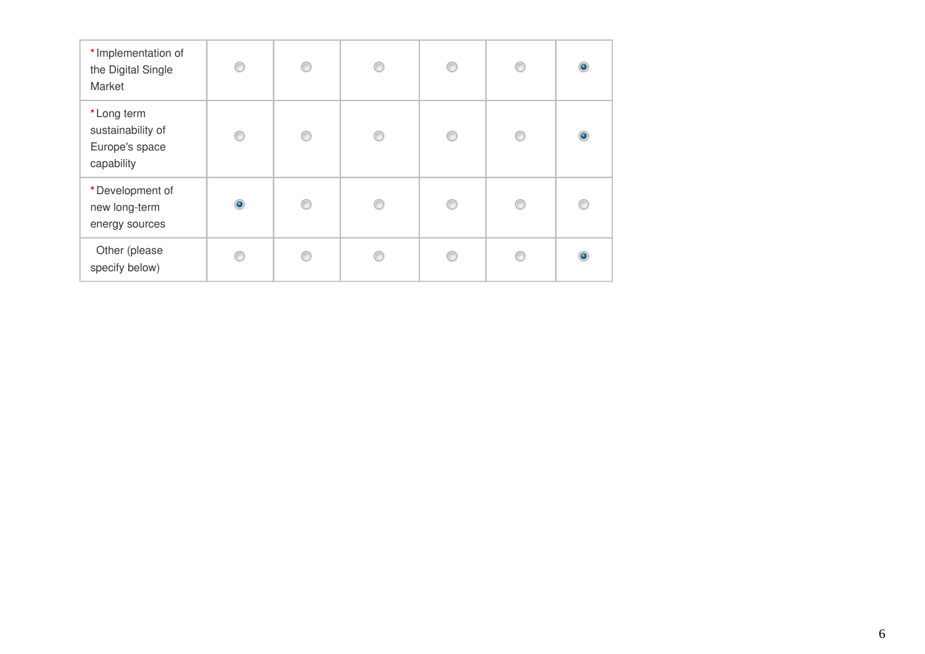| * Implementation of<br>the Digital Single<br>Market             | ⊙         | ∩ | C | ⊙ | ⋒ | $\bullet$ |
|-----------------------------------------------------------------|-----------|---|---|---|---|-----------|
| *Long term<br>sustainability of<br>Europe's space<br>capability | ⊙         | ⋒ |   | ◎ | ⋒ | $\bullet$ |
| *Development of<br>new long-term<br>energy sources              | $\bullet$ | ⋒ | ⋒ | ⊙ | ⋒ |           |
| Other (please<br>specify below)                                 |           |   |   | € |   |           |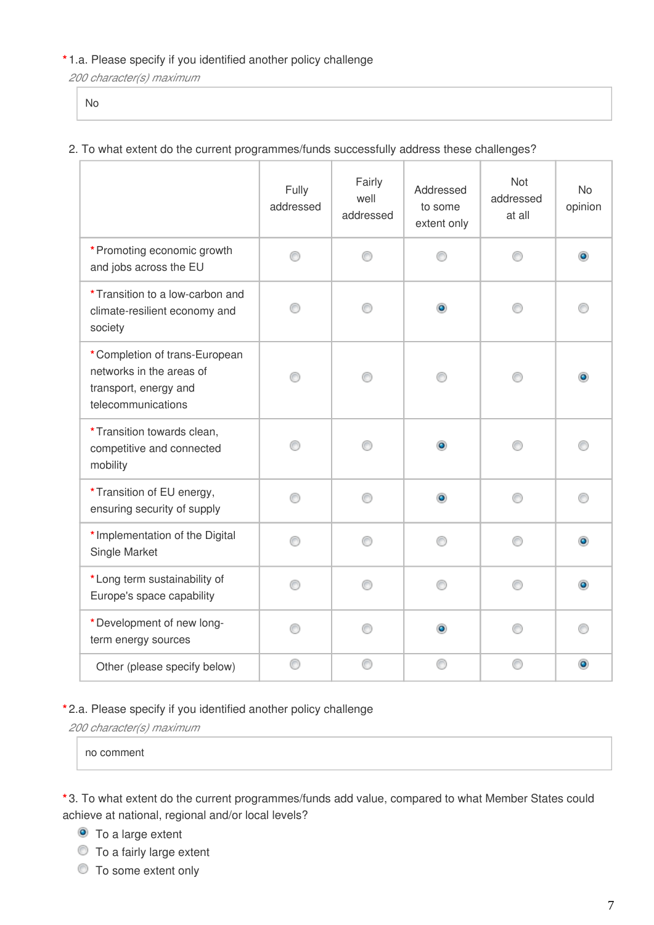### **\*** 1.a. Please specify if you identified another policy challenge

*200 character(s) maximum*

No

### 2. To what extent do the current programmes/funds successfully address these challenges?

|                                                                                                          | Fully<br>addressed | Fairly<br>well<br>addressed | Addressed<br>to some<br>extent only | Not<br>addressed<br>at all | <b>No</b><br>opinion |
|----------------------------------------------------------------------------------------------------------|--------------------|-----------------------------|-------------------------------------|----------------------------|----------------------|
| * Promoting economic growth<br>and jobs across the EU                                                    | ⊙                  | ⊙                           |                                     | ∩                          | ۵                    |
| *Transition to a low-carbon and<br>climate-resilient economy and<br>society                              |                    |                             | $\bullet$                           |                            |                      |
| *Completion of trans-European<br>networks in the areas of<br>transport, energy and<br>telecommunications |                    |                             |                                     |                            |                      |
| *Transition towards clean,<br>competitive and connected<br>mobility                                      | ∩                  | ⋒                           | ۰                                   | ⋒                          |                      |
| *Transition of EU energy,<br>ensuring security of supply                                                 | ⊙                  | ⊙                           | ۰                                   | ⊙                          |                      |
| * Implementation of the Digital<br>Single Market                                                         | ⊙                  | ⊙                           | ∩                                   | ⊙                          |                      |
| *Long term sustainability of<br>Europe's space capability                                                | ⊙                  | ⊙                           |                                     | ⊙                          |                      |
| *Development of new long-<br>term energy sources                                                         | ∩                  | ∩                           | $\bullet$                           | ∩                          |                      |
| Other (please specify below)                                                                             | ⊙                  | C                           |                                     | ⊙                          | $\bullet$            |

#### **\*** 2.a. Please specify if you identified another policy challenge

*200 character(s) maximum*

no comment

**\*** 3. To what extent do the current programmes/funds add value, compared to what Member States could achieve at national, regional and/or local levels?

- **O** To a large extent
- $\bullet$  To a fairly large extent
- $\circledcirc$  To some extent only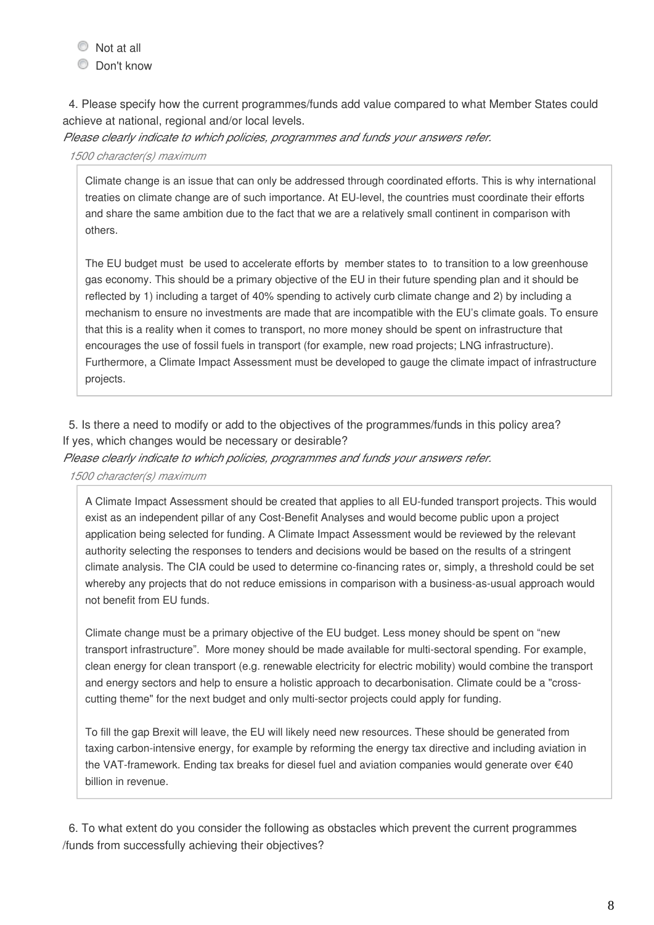$\bullet$  Not at all

Don't know

4. Please specify how the current programmes/funds add value compared to what Member States could achieve at national, regional and/or local levels.

*Please clearly indicate to which policies, programmes and funds your answers refer.*

#### *1500 character(s) maximum*

Climate change is an issue that can only be addressed through coordinated efforts. This is why international treaties on climate change are of such importance. At EU-level, the countries must coordinate their efforts and share the same ambition due to the fact that we are a relatively small continent in comparison with others.

The EU budget must be used to accelerate efforts by member states to to transition to a low greenhouse gas economy. This should be a primary objective of the EU in their future spending plan and it should be reflected by 1) including a target of 40% spending to actively curb climate change and 2) by including a mechanism to ensure no investments are made that are incompatible with the EU's climate goals. To ensure that this is a reality when it comes to transport, no more money should be spent on infrastructure that encourages the use of fossil fuels in transport (for example, new road projects; LNG infrastructure). Furthermore, a Climate Impact Assessment must be developed to gauge the climate impact of infrastructure projects.

5. Is there a need to modify or add to the objectives of the programmes/funds in this policy area? If yes, which changes would be necessary or desirable?

*Please clearly indicate to which policies, programmes and funds your answers refer.*

*1500 character(s) maximum*

A Climate Impact Assessment should be created that applies to all EU-funded transport projects. This would exist as an independent pillar of any Cost-Benefit Analyses and would become public upon a project application being selected for funding. A Climate Impact Assessment would be reviewed by the relevant authority selecting the responses to tenders and decisions would be based on the results of a stringent climate analysis. The CIA could be used to determine co-financing rates or, simply, a threshold could be set whereby any projects that do not reduce emissions in comparison with a business-as-usual approach would not benefit from EU funds.

Climate change must be a primary objective of the EU budget. Less money should be spent on "new transport infrastructure". More money should be made available for multi-sectoral spending. For example, clean energy for clean transport (e.g. renewable electricity for electric mobility) would combine the transport and energy sectors and help to ensure a holistic approach to decarbonisation. Climate could be a "crosscutting theme" for the next budget and only multi-sector projects could apply for funding.

To fill the gap Brexit will leave, the EU will likely need new resources. These should be generated from taxing carbon-intensive energy, for example by reforming the energy tax directive and including aviation in the VAT-framework. Ending tax breaks for diesel fuel and aviation companies would generate over €40 billion in revenue.

6. To what extent do you consider the following as obstacles which prevent the current programmes /funds from successfully achieving their objectives?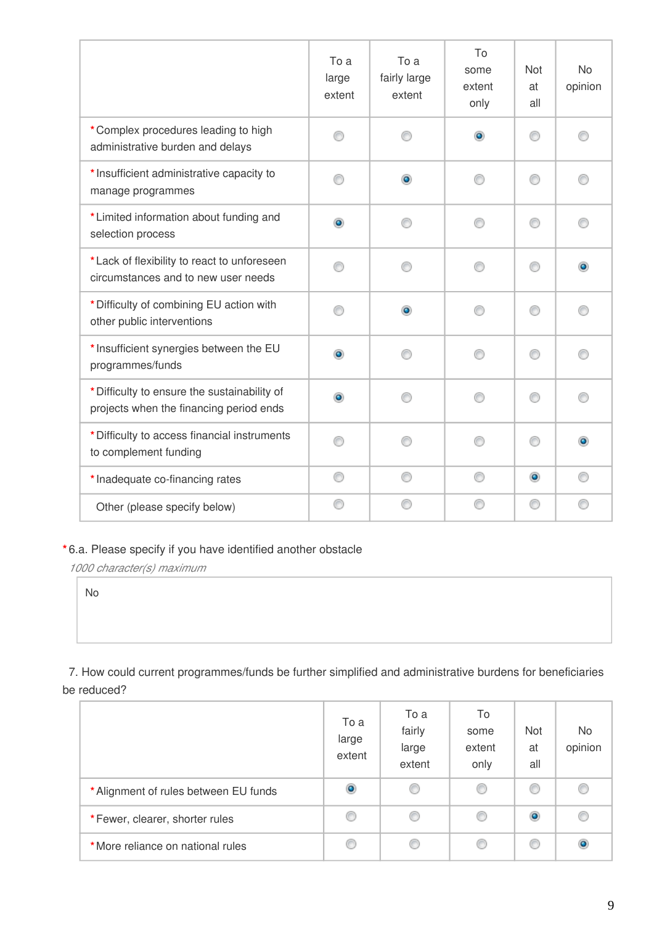|                                                                                         | To a<br>large<br>extent | To a<br>fairly large<br>extent | To<br>some<br>extent<br>only | Not<br>at<br>all | <b>No</b><br>opinion |
|-----------------------------------------------------------------------------------------|-------------------------|--------------------------------|------------------------------|------------------|----------------------|
| *Complex procedures leading to high<br>administrative burden and delays                 | ⋒                       | ⋒                              | $\bullet$                    | ∩                | ⋒                    |
| * Insufficient administrative capacity to<br>manage programmes                          |                         | ۰                              | ⋒                            | ∩                |                      |
| *Limited information about funding and<br>selection process                             | ۰                       | ⋒                              | ⋒                            | ∩                |                      |
| *Lack of flexibility to react to unforeseen<br>circumstances and to new user needs      | ⋒                       | ∩                              | ⋒                            | ⊙                |                      |
| * Difficulty of combining EU action with<br>other public interventions                  | ∩                       | ۵                              | ∩                            | ∩                |                      |
| * Insufficient synergies between the EU<br>programmes/funds                             | ۵                       | ∩                              | ⋒                            | ∩                |                      |
| * Difficulty to ensure the sustainability of<br>projects when the financing period ends | ۰                       | ∩                              | ⊙                            | ⊙                |                      |
| * Difficulty to access financial instruments<br>to complement funding                   | ⋒                       | ∩                              | ⋒                            | ∩                |                      |
| * Inadequate co-financing rates                                                         | ⊙                       | ⊙                              | ⊙                            | $\bullet$        |                      |
| Other (please specify below)                                                            | ⋒                       |                                | €                            | ⊙                |                      |

## **\*** 6.a. Please specify if you have identified another obstacle

*1000 character(s) maximum*

No

7. How could current programmes/funds be further simplified and administrative burdens for beneficiaries be reduced?

|                                       | To a<br>large<br>extent | To a<br>fairly<br>large<br>extent | To<br>some<br>extent<br>only | Not<br>at<br>all | No<br>opinion |
|---------------------------------------|-------------------------|-----------------------------------|------------------------------|------------------|---------------|
| * Alignment of rules between EU funds | ۱                       | C                                 | O                            | O                |               |
| *Fewer, clearer, shorter rules        | C                       |                                   | C                            | $\bullet$        |               |
| *More reliance on national rules      | O                       |                                   | C                            | O                |               |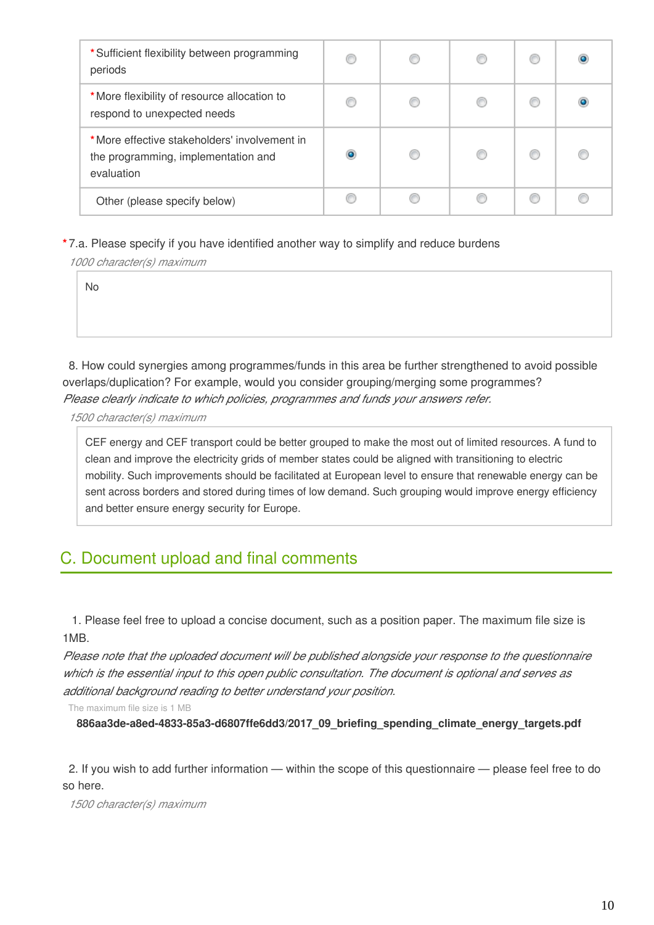| *Sufficient flexibility between programming<br>periods                                            | C | O | C |  |
|---------------------------------------------------------------------------------------------------|---|---|---|--|
| *More flexibility of resource allocation to<br>respond to unexpected needs                        |   |   |   |  |
| *More effective stakeholders' involvement in<br>the programming, implementation and<br>evaluation | ۰ | O |   |  |
| Other (please specify below)                                                                      |   |   |   |  |

**\*** 7.a. Please specify if you have identified another way to simplify and reduce burdens

*1000 character(s) maximum*

No

8. How could synergies among programmes/funds in this area be further strengthened to avoid possible overlaps/duplication? For example, would you consider grouping/merging some programmes? *Please clearly indicate to which policies, programmes and funds your answers refer.*

*1500 character(s) maximum*

CEF energy and CEF transport could be better grouped to make the most out of limited resources. A fund to clean and improve the electricity grids of member states could be aligned with transitioning to electric mobility. Such improvements should be facilitated at European level to ensure that renewable energy can be sent across borders and stored during times of low demand. Such grouping would improve energy efficiency and better ensure energy security for Europe.

## C. Document upload and final comments

 1. Please feel free to upload a concise document, such as a position paper. The maximum file size is 1MB.

*Please note that the uploaded document will be published alongside your response to the questionnaire which is the essential input to this open public consultation. The document is optional and serves as additional background reading to better understand your position.*

The maximum file size is 1 MB

**886aa3de-a8ed-4833-85a3-d6807ffe6dd3/2017\_09\_briefing\_spending\_climate\_energy\_targets.pdf**

2. If you wish to add further information — within the scope of this questionnaire — please feel free to do so here.

*1500 character(s) maximum*